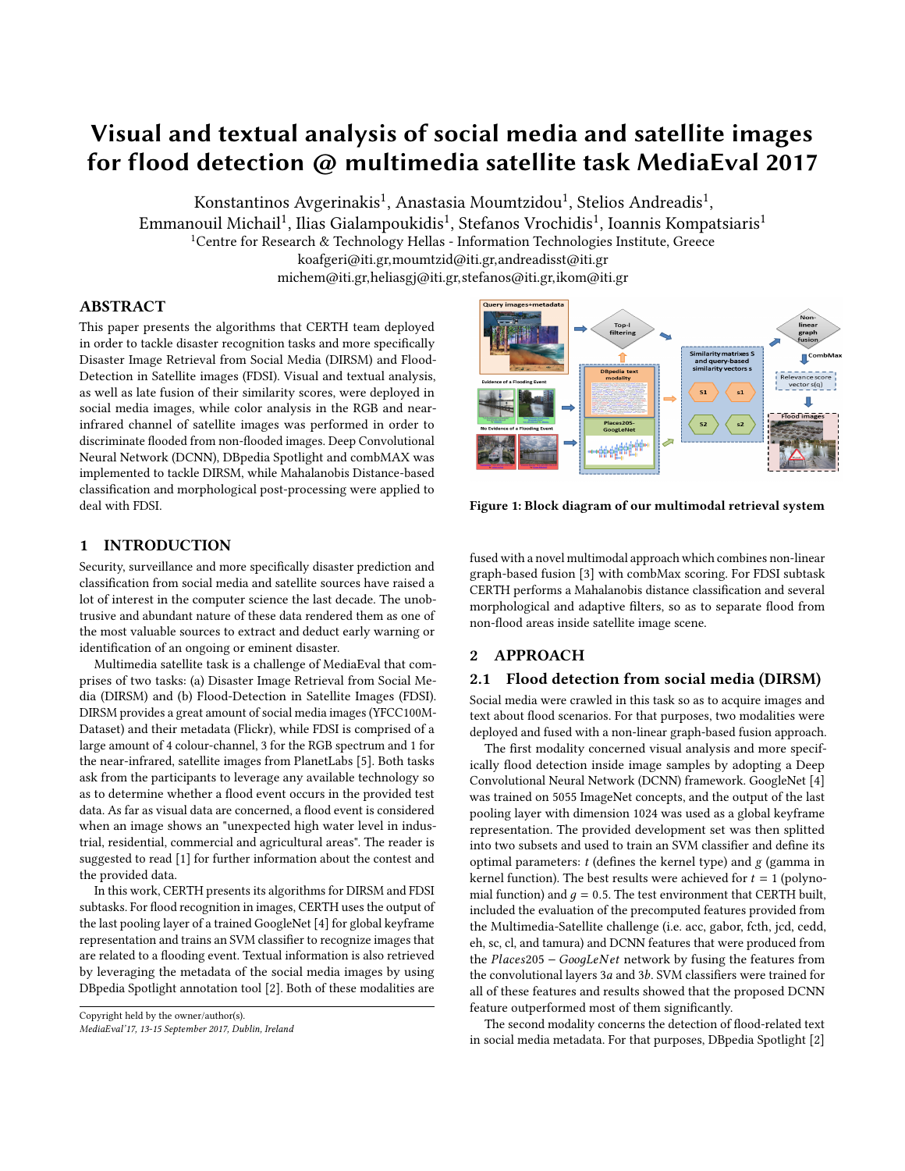# Visual and textual analysis of social media and satellite images for flood detection @ multimedia satellite task MediaEval 2017

Konstantinos Avgerinakis $^1$ , Anastasia Moumtzidou $^1$ , Stelios Andreadis $^1$ ,

Emmanouil Michail $^1$ , Ilias Gialampoukidis $^1$ , Stefanos Vrochidis $^1$ , Ioannis Kompatsiaris $^1$ 

<sup>1</sup>Centre for Research & Technology Hellas - Information Technologies Institute, Greece

koafgeri@iti.gr,moumtzid@iti.gr,andreadisst@iti.gr

michem@iti.gr,heliasgj@iti.gr,stefanos@iti.gr,ikom@iti.gr

# ABSTRACT

This paper presents the algorithms that CERTH team deployed in order to tackle disaster recognition tasks and more specifically Disaster Image Retrieval from Social Media (DIRSM) and Flood-Detection in Satellite images (FDSI). Visual and textual analysis, as well as late fusion of their similarity scores, were deployed in social media images, while color analysis in the RGB and nearinfrared channel of satellite images was performed in order to discriminate flooded from non-flooded images. Deep Convolutional Neural Network (DCNN), DBpedia Spotlight and combMAX was implemented to tackle DIRSM, while Mahalanobis Distance-based classification and morphological post-processing were applied to deal with FDSI.



Security, surveillance and more specifically disaster prediction and classification from social media and satellite sources have raised a lot of interest in the computer science the last decade. The unobtrusive and abundant nature of these data rendered them as one of the most valuable sources to extract and deduct early warning or identification of an ongoing or eminent disaster.

Multimedia satellite task is a challenge of MediaEval that comprises of two tasks: (a) Disaster Image Retrieval from Social Media (DIRSM) and (b) Flood-Detection in Satellite Images (FDSI). DIRSM provides a great amount of social media images (YFCC100M-Dataset) and their metadata (Flickr), while FDSI is comprised of a large amount of 4 colour-channel, 3 for the RGB spectrum and 1 for the near-infrared, satellite images from PlanetLabs [\[5\]](#page-2-0). Both tasks ask from the participants to leverage any available technology so as to determine whether a flood event occurs in the provided test data. As far as visual data are concerned, a flood event is considered when an image shows an "unexpected high water level in industrial, residential, commercial and agricultural areas". The reader is suggested to read [\[1\]](#page-2-1) for further information about the contest and the provided data.

In this work, CERTH presents its algorithms for DIRSM and FDSI subtasks. For flood recognition in images, CERTH uses the output of the last pooling layer of a trained GoogleNet [\[4\]](#page-2-2) for global keyframe representation and trains an SVM classifier to recognize images that are related to a flooding event. Textual information is also retrieved by leveraging the metadata of the social media images by using DBpedia Spotlight annotation tool [\[2\]](#page-2-3). Both of these modalities are



<span id="page-0-0"></span>

Figure 1: Block diagram of our multimodal retrieval system

fused with a novel multimodal approach which combines non-linear graph-based fusion [\[3\]](#page-2-4) with combMax scoring. For FDSI subtask CERTH performs a Mahalanobis distance classification and several morphological and adaptive filters, so as to separate flood from non-flood areas inside satellite image scene.

# 2 APPROACH

#### 2.1 Flood detection from social media (DIRSM)

Social media were crawled in this task so as to acquire images and text about flood scenarios. For that purposes, two modalities were deployed and fused with a non-linear graph-based fusion approach.

The first modality concerned visual analysis and more specifically flood detection inside image samples by adopting a Deep Convolutional Neural Network (DCNN) framework. GoogleNet [\[4\]](#page-2-2) was trained on 5055 ImageNet concepts, and the output of the last pooling layer with dimension 1024 was used as a global keyframe representation. The provided development set was then splitted into two subsets and used to train an SVM classifier and define its optimal parameters:  $t$  (defines the kernel type) and  $g$  (gamma in kernel function). The best results were achieved for  $t = 1$  (polynomial function) and  $q = 0.5$ . The test environment that CERTH built, included the evaluation of the precomputed features provided from the Multimedia-Satellite challenge (i.e. acc, gabor, fcth, jcd, cedd, eh, sc, cl, and tamura) and DCNN features that were produced from the Places<sup>205</sup> <sup>−</sup> GooдLeN et network by fusing the features from the convolutional layers <sup>3</sup>a and <sup>3</sup>b. SVM classifiers were trained for all of these features and results showed that the proposed DCNN feature outperformed most of them significantly.

The second modality concerns the detection of flood-related text in social media metadata. For that purposes, DBpedia Spotlight [\[2\]](#page-2-3)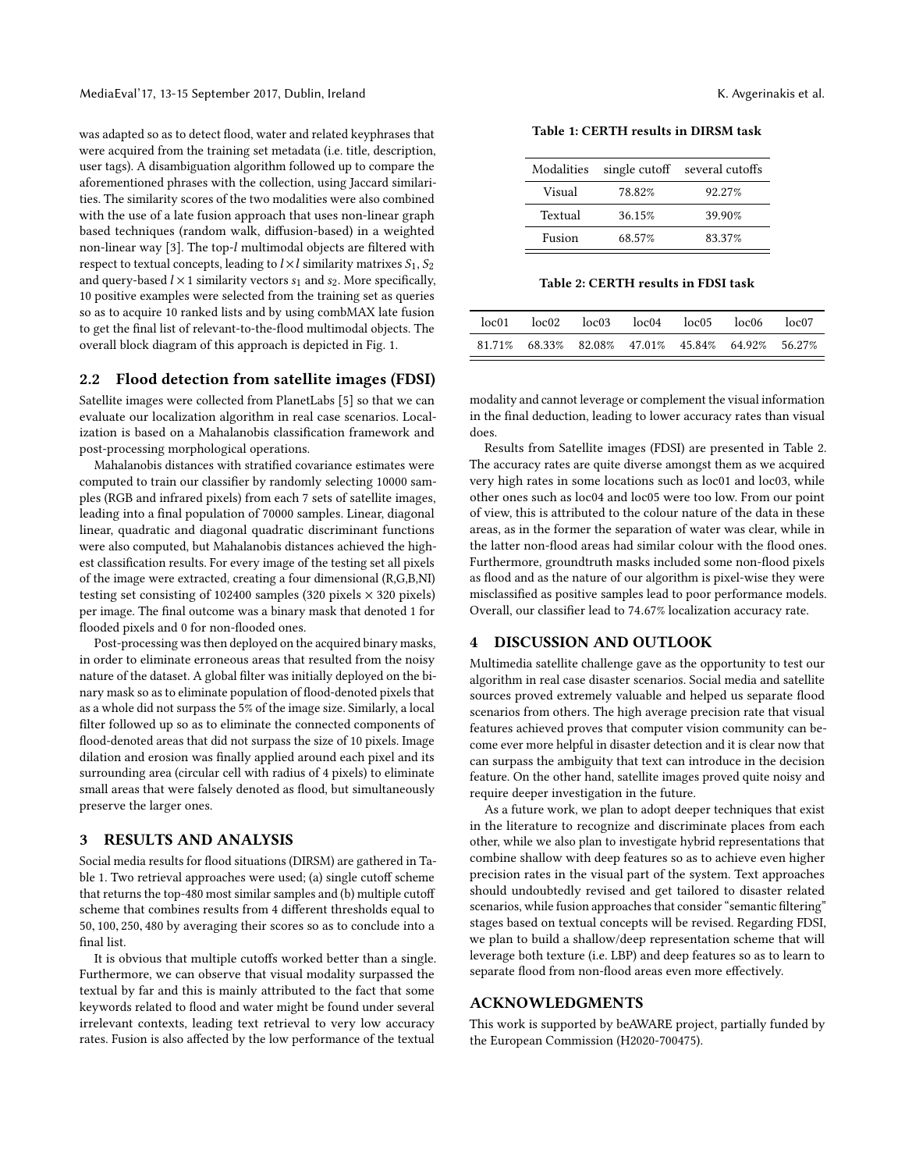was adapted so as to detect flood, water and related keyphrases that were acquired from the training set metadata (i.e. title, description, user tags). A disambiguation algorithm followed up to compare the aforementioned phrases with the collection, using Jaccard similarities. The similarity scores of the two modalities were also combined with the use of a late fusion approach that uses non-linear graph based techniques (random walk, diffusion-based) in a weighted non-linear way [\[3\]](#page-2-4). The top-l multimodal objects are filtered with respect to textual concepts, leading to  $l \times l$  similarity matrixes  $S_1, S_2$ and query-based  $l \times 1$  similarity vectors  $s_1$  and  $s_2$ . More specifically, 10 positive examples were selected from the training set as queries so as to acquire 10 ranked lists and by using combMAX late fusion to get the final list of relevant-to-the-flood multimodal objects. The overall block diagram of this approach is depicted in Fig. [1.](#page-0-0)

#### 2.2 Flood detection from satellite images (FDSI)

Satellite images were collected from PlanetLabs [\[5\]](#page-2-0) so that we can evaluate our localization algorithm in real case scenarios. Localization is based on a Mahalanobis classification framework and post-processing morphological operations.

Mahalanobis distances with stratified covariance estimates were computed to train our classifier by randomly selecting 10000 samples (RGB and infrared pixels) from each 7 sets of satellite images, leading into a final population of 70000 samples. Linear, diagonal linear, quadratic and diagonal quadratic discriminant functions were also computed, but Mahalanobis distances achieved the highest classification results. For every image of the testing set all pixels of the image were extracted, creating a four dimensional (R,G,B,NI) testing set consisting of 102400 samples (320 pixels  $\times$  320 pixels) per image. The final outcome was a binary mask that denoted 1 for flooded pixels and 0 for non-flooded ones.

Post-processing was then deployed on the acquired binary masks, in order to eliminate erroneous areas that resulted from the noisy nature of the dataset. A global filter was initially deployed on the binary mask so as to eliminate population of flood-denoted pixels that as a whole did not surpass the 5% of the image size. Similarly, a local filter followed up so as to eliminate the connected components of flood-denoted areas that did not surpass the size of 10 pixels. Image dilation and erosion was finally applied around each pixel and its surrounding area (circular cell with radius of 4 pixels) to eliminate small areas that were falsely denoted as flood, but simultaneously preserve the larger ones.

#### 3 RESULTS AND ANALYSIS

Social media results for flood situations (DIRSM) are gathered in Table [1.](#page-1-0) Two retrieval approaches were used; (a) single cutoff scheme that returns the top-480 most similar samples and (b) multiple cutoff scheme that combines results from 4 different thresholds equal to <sup>50</sup>, <sup>100</sup>, <sup>250</sup>, <sup>480</sup> by averaging their scores so as to conclude into a final list.

It is obvious that multiple cutoffs worked better than a single. Furthermore, we can observe that visual modality surpassed the textual by far and this is mainly attributed to the fact that some keywords related to flood and water might be found under several irrelevant contexts, leading text retrieval to very low accuracy rates. Fusion is also affected by the low performance of the textual

<span id="page-1-0"></span>Table 1: CERTH results in DIRSM task

|  | Modalities |        | single cutoff several cutoffs |
|--|------------|--------|-------------------------------|
|  | Visual     | 78.82% | 92.27%                        |
|  | Textual    | 36.15% | 39.90%                        |
|  | Fusion     | 68.57% | 83.37%                        |

Table 2: CERTH results in FDSI task

<span id="page-1-1"></span>

| loc01 |  | $loc02$ $loc03$ $loc04$ $loc05$ $loc06$          | loc07 |
|-------|--|--------------------------------------------------|-------|
|       |  | 81.71% 68.33% 82.08% 47.01% 45.84% 64.92% 56.27% |       |

modality and cannot leverage or complement the visual information in the final deduction, leading to lower accuracy rates than visual does.

Results from Satellite images (FDSI) are presented in Table [2.](#page-1-1) The accuracy rates are quite diverse amongst them as we acquired very high rates in some locations such as loc01 and loc03, while other ones such as loc04 and loc05 were too low. From our point of view, this is attributed to the colour nature of the data in these areas, as in the former the separation of water was clear, while in the latter non-flood areas had similar colour with the flood ones. Furthermore, groundtruth masks included some non-flood pixels as flood and as the nature of our algorithm is pixel-wise they were misclassified as positive samples lead to poor performance models. Overall, our classifier lead to <sup>74</sup>.67% localization accuracy rate.

## 4 DISCUSSION AND OUTLOOK

Multimedia satellite challenge gave as the opportunity to test our algorithm in real case disaster scenarios. Social media and satellite sources proved extremely valuable and helped us separate flood scenarios from others. The high average precision rate that visual features achieved proves that computer vision community can become ever more helpful in disaster detection and it is clear now that can surpass the ambiguity that text can introduce in the decision feature. On the other hand, satellite images proved quite noisy and require deeper investigation in the future.

As a future work, we plan to adopt deeper techniques that exist in the literature to recognize and discriminate places from each other, while we also plan to investigate hybrid representations that combine shallow with deep features so as to achieve even higher precision rates in the visual part of the system. Text approaches should undoubtedly revised and get tailored to disaster related scenarios, while fusion approaches that consider "semantic filtering" stages based on textual concepts will be revised. Regarding FDSI, we plan to build a shallow/deep representation scheme that will leverage both texture (i.e. LBP) and deep features so as to learn to separate flood from non-flood areas even more effectively.

#### ACKNOWLEDGMENTS

This work is supported by beAWARE project, partially funded by the European Commission (H2020-700475).